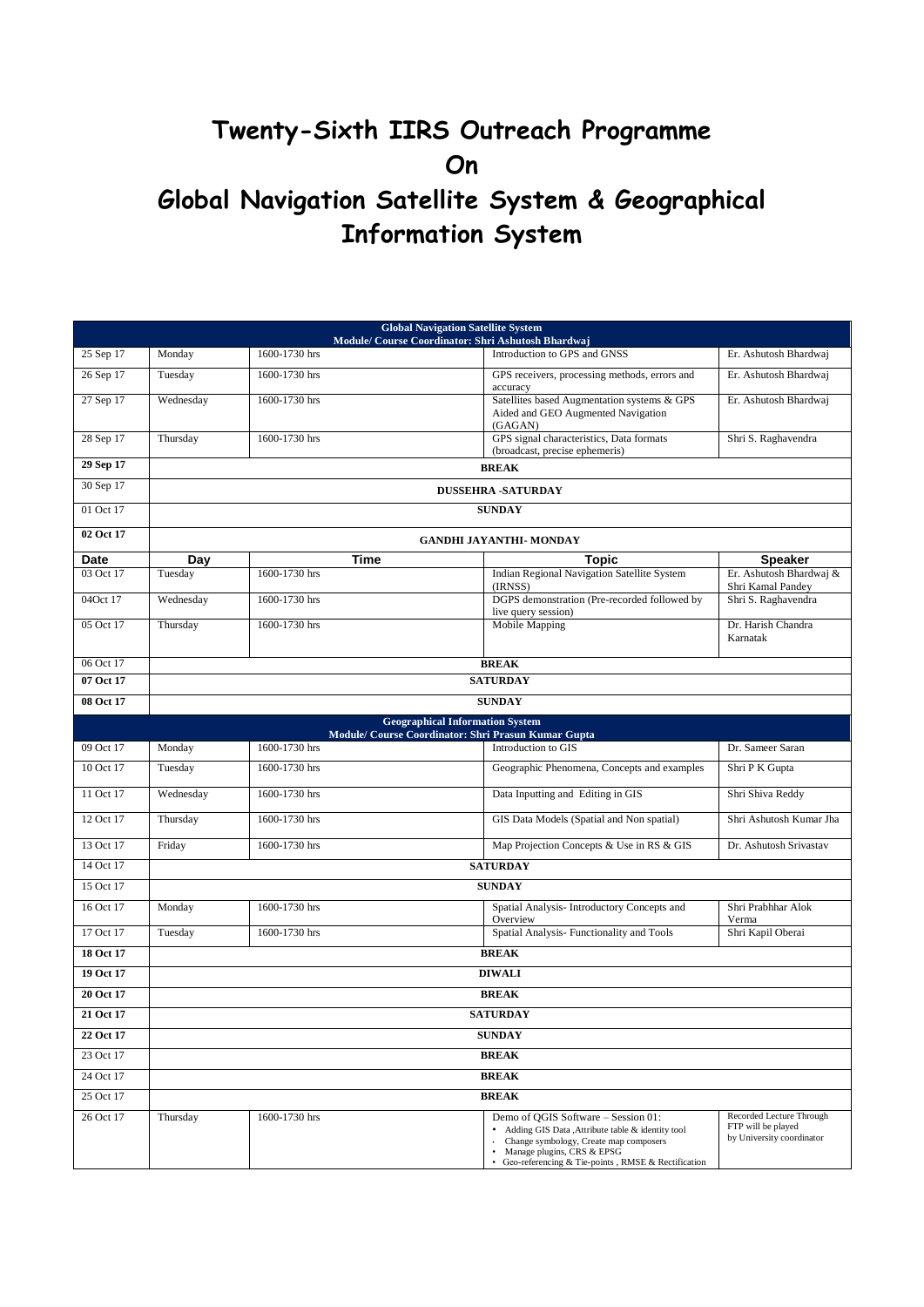## **Twenty-Sixth IIRS Outreach Programme On Global Navigation Satellite System & Geographical Information System**

| <b>Global Navigation Satellite System</b><br>Module/ Course Coordinator: Shri Ashutosh Bhardwaj |                                |                 |                                                                                                                                                                                                                        |                                                                             |  |  |  |
|-------------------------------------------------------------------------------------------------|--------------------------------|-----------------|------------------------------------------------------------------------------------------------------------------------------------------------------------------------------------------------------------------------|-----------------------------------------------------------------------------|--|--|--|
| 25 Sep 17                                                                                       | Monday                         | 1600-1730 hrs   | Introduction to GPS and GNSS                                                                                                                                                                                           | Er. Ashutosh Bhardwaj                                                       |  |  |  |
| 26 Sep 17                                                                                       | Tuesday                        | 1600-1730 hrs   | GPS receivers, processing methods, errors and<br>accuracy                                                                                                                                                              | Er. Ashutosh Bhardwaj                                                       |  |  |  |
| 27 Sep 17                                                                                       | Wednesday                      | 1600-1730 hrs   | Satellites based Augmentation systems & GPS<br>Aided and GEO Augmented Navigation<br>(GAGAN)                                                                                                                           | Er. Ashutosh Bhardwaj                                                       |  |  |  |
| 28 Sep 17                                                                                       | Thursday                       | 1600-1730 hrs   | GPS signal characteristics, Data formats<br>(broadcast, precise ephemeris)                                                                                                                                             | Shri S. Raghavendra                                                         |  |  |  |
| 29 Sep 17                                                                                       | <b>BREAK</b>                   |                 |                                                                                                                                                                                                                        |                                                                             |  |  |  |
| 30 Sep 17                                                                                       | <b>DUSSEHRA -SATURDAY</b>      |                 |                                                                                                                                                                                                                        |                                                                             |  |  |  |
| 01 Oct 17                                                                                       | <b>SUNDAY</b>                  |                 |                                                                                                                                                                                                                        |                                                                             |  |  |  |
| 02 Oct 17                                                                                       | <b>GANDHI JAYANTHI- MONDAY</b> |                 |                                                                                                                                                                                                                        |                                                                             |  |  |  |
| Date                                                                                            | Dav                            | Time            | Topic                                                                                                                                                                                                                  | <b>Speaker</b>                                                              |  |  |  |
| 03 Oct 17                                                                                       | Tuesday                        | 1600-1730 hrs   | Indian Regional Navigation Satellite System<br>(IRNSS)                                                                                                                                                                 | Er. Ashutosh Bhardwaj &<br>Shri Kamal Pandey                                |  |  |  |
| 04Oct 17                                                                                        | Wednesday                      | 1600-1730 hrs   | DGPS demonstration (Pre-recorded followed by<br>live query session)                                                                                                                                                    | Shri S. Raghavendra                                                         |  |  |  |
| 05 Oct 17                                                                                       | Thursday                       | 1600-1730 hrs   | Mobile Mapping                                                                                                                                                                                                         | Dr. Harish Chandra<br>Karnatak                                              |  |  |  |
| 06 Oct 17                                                                                       | <b>BREAK</b>                   |                 |                                                                                                                                                                                                                        |                                                                             |  |  |  |
| 07 Oct 17                                                                                       | <b>SATURDAY</b>                |                 |                                                                                                                                                                                                                        |                                                                             |  |  |  |
| 08 Oct 17                                                                                       | <b>SUNDAY</b>                  |                 |                                                                                                                                                                                                                        |                                                                             |  |  |  |
|                                                                                                 |                                |                 | <b>Geographical Information System</b><br>Module/ Course Coordinator: Shri Prasun Kumar Gupta                                                                                                                          |                                                                             |  |  |  |
| 09 Oct 17                                                                                       | Monday                         | 1600-1730 hrs   | Introduction to GIS                                                                                                                                                                                                    | Dr. Sameer Saran                                                            |  |  |  |
| $10$ Oct 17                                                                                     | Tuesday                        | 1600-1730 hrs   | Geographic Phenomena, Concepts and examples                                                                                                                                                                            | Shri P K Gupta                                                              |  |  |  |
| 11 Oct 17                                                                                       | Wednesday                      | 1600-1730 hrs   | Data Inputting and Editing in GIS                                                                                                                                                                                      | Shri Shiva Reddy                                                            |  |  |  |
| 12 Oct 17                                                                                       | Thursday                       | 1600-1730 hrs   | GIS Data Models (Spatial and Non spatial)                                                                                                                                                                              | Shri Ashutosh Kumar Jha                                                     |  |  |  |
| 13 Oct 17                                                                                       | Friday                         | 1600-1730 hrs   | Map Projection Concepts & Use in RS & GIS                                                                                                                                                                              | Dr. Ashutosh Srivastav                                                      |  |  |  |
| 14 Oct 17                                                                                       | <b>SATURDAY</b>                |                 |                                                                                                                                                                                                                        |                                                                             |  |  |  |
| 15 Oct 17                                                                                       | <b>SUNDAY</b>                  |                 |                                                                                                                                                                                                                        |                                                                             |  |  |  |
| 16 Oct 17                                                                                       | Monday                         | 1600-1730 hrs   | Spatial Analysis- Introductory Concepts and<br>Overview                                                                                                                                                                | Shri Prabhhar Alok<br>Verma                                                 |  |  |  |
| 17 Oct 17                                                                                       | Tuesday                        | 1600-1730 hrs   | Spatial Analysis- Functionality and Tools                                                                                                                                                                              | Shri Kapil Oberai                                                           |  |  |  |
| 18 Oct 17                                                                                       | <b>BREAK</b>                   |                 |                                                                                                                                                                                                                        |                                                                             |  |  |  |
| 19 Oct 17                                                                                       |                                | <b>DIWALI</b>   |                                                                                                                                                                                                                        |                                                                             |  |  |  |
| 20 Oct 17                                                                                       |                                | <b>BREAK</b>    |                                                                                                                                                                                                                        |                                                                             |  |  |  |
| 21 Oct 17                                                                                       |                                | <b>SATURDAY</b> |                                                                                                                                                                                                                        |                                                                             |  |  |  |
| 22 Oct 17                                                                                       | <b>SUNDAY</b>                  |                 |                                                                                                                                                                                                                        |                                                                             |  |  |  |
| 23 Oct 17                                                                                       | <b>BREAK</b>                   |                 |                                                                                                                                                                                                                        |                                                                             |  |  |  |
| 24 Oct 17                                                                                       | <b>BREAK</b>                   |                 |                                                                                                                                                                                                                        |                                                                             |  |  |  |
| 25 Oct 17                                                                                       |                                | <b>BREAK</b>    |                                                                                                                                                                                                                        |                                                                             |  |  |  |
| 26 Oct 17                                                                                       | Thursday                       | 1600-1730 hrs   | Demo of QGIS Software - Session 01:<br>Adding GIS Data , Attribute table & identity tool<br>Change symbology, Create map composers<br>Manage plugins, CRS & EPSG<br>Geo-referencing & Tie-points, RMSE & Rectification | Recorded Lecture Through<br>FTP will be played<br>by University coordinator |  |  |  |